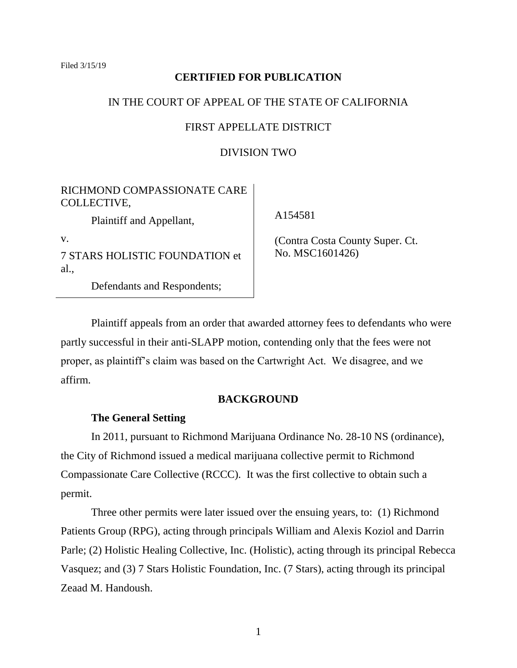Filed 3/15/19

# **CERTIFIED FOR PUBLICATION**

# IN THE COURT OF APPEAL OF THE STATE OF CALIFORNIA

# FIRST APPELLATE DISTRICT

# DIVISION TWO

# RICHMOND COMPASSIONATE CARE COLLECTIVE,

Plaintiff and Appellant,

v.

7 STARS HOLISTIC FOUNDATION et al.,

Defendants and Respondents;

A154581

 (Contra Costa County Super. Ct. No. MSC1601426)

Plaintiff appeals from an order that awarded attorney fees to defendants who were partly successful in their anti-SLAPP motion, contending only that the fees were not proper, as plaintiff's claim was based on the Cartwright Act. We disagree, and we affirm.

## **BACKGROUND**

# **The General Setting**

In 2011, pursuant to Richmond Marijuana Ordinance No. 28-10 NS (ordinance), the City of Richmond issued a medical marijuana collective permit to Richmond Compassionate Care Collective (RCCC). It was the first collective to obtain such a permit.

Three other permits were later issued over the ensuing years, to: (1) Richmond Patients Group (RPG), acting through principals William and Alexis Koziol and Darrin Parle; (2) Holistic Healing Collective, Inc. (Holistic), acting through its principal Rebecca Vasquez; and (3) 7 Stars Holistic Foundation, Inc. (7 Stars), acting through its principal Zeaad M. Handoush.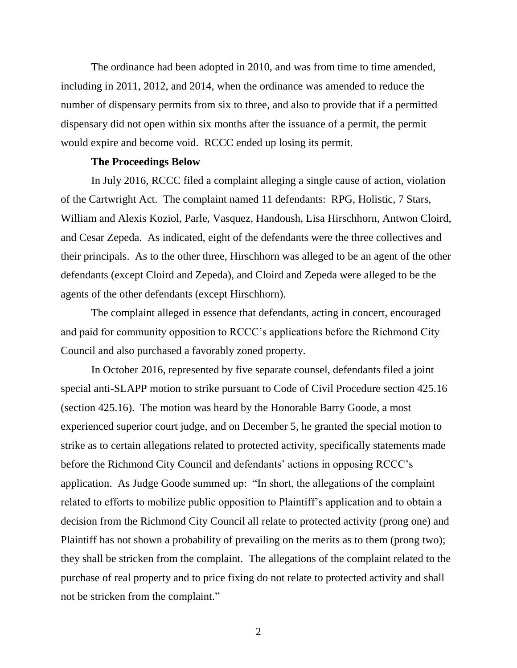The ordinance had been adopted in 2010, and was from time to time amended, including in 2011, 2012, and 2014, when the ordinance was amended to reduce the number of dispensary permits from six to three, and also to provide that if a permitted dispensary did not open within six months after the issuance of a permit, the permit would expire and become void. RCCC ended up losing its permit.

#### **The Proceedings Below**

In July 2016, RCCC filed a complaint alleging a single cause of action, violation of the Cartwright Act. The complaint named 11 defendants: RPG, Holistic, 7 Stars, William and Alexis Koziol, Parle, Vasquez, Handoush, Lisa Hirschhorn, Antwon Cloird, and Cesar Zepeda. As indicated, eight of the defendants were the three collectives and their principals. As to the other three, Hirschhorn was alleged to be an agent of the other defendants (except Cloird and Zepeda), and Cloird and Zepeda were alleged to be the agents of the other defendants (except Hirschhorn).

The complaint alleged in essence that defendants, acting in concert, encouraged and paid for community opposition to RCCC's applications before the Richmond City Council and also purchased a favorably zoned property.

In October 2016, represented by five separate counsel, defendants filed a joint special anti-SLAPP motion to strike pursuant to Code of Civil Procedure section 425.16 (section 425.16). The motion was heard by the Honorable Barry Goode, a most experienced superior court judge, and on December 5, he granted the special motion to strike as to certain allegations related to protected activity, specifically statements made before the Richmond City Council and defendants' actions in opposing RCCC's application. As Judge Goode summed up: "In short, the allegations of the complaint related to efforts to mobilize public opposition to Plaintiff's application and to obtain a decision from the Richmond City Council all relate to protected activity (prong one) and Plaintiff has not shown a probability of prevailing on the merits as to them (prong two); they shall be stricken from the complaint. The allegations of the complaint related to the purchase of real property and to price fixing do not relate to protected activity and shall not be stricken from the complaint."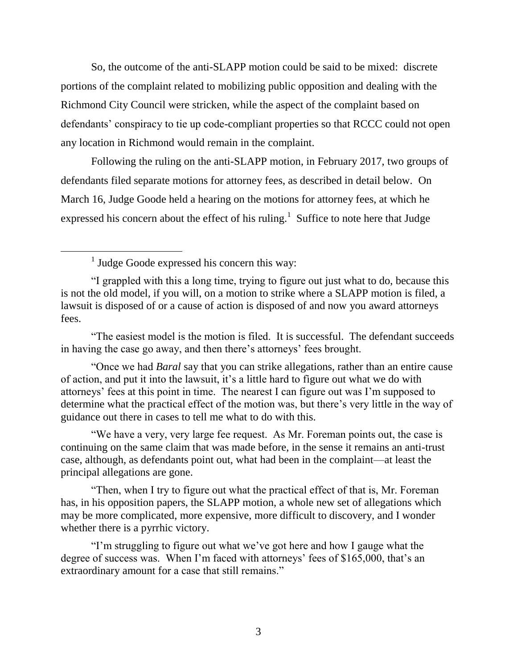So, the outcome of the anti-SLAPP motion could be said to be mixed: discrete portions of the complaint related to mobilizing public opposition and dealing with the Richmond City Council were stricken, while the aspect of the complaint based on defendants' conspiracy to tie up code-compliant properties so that RCCC could not open any location in Richmond would remain in the complaint.

Following the ruling on the anti-SLAPP motion, in February 2017, two groups of defendants filed separate motions for attorney fees, as described in detail below. On March 16, Judge Goode held a hearing on the motions for attorney fees, at which he expressed his concern about the effect of his ruling.<sup>1</sup> Suffice to note here that Judge

<sup>1</sup> Judge Goode expressed his concern this way:

 $\overline{a}$ 

"The easiest model is the motion is filed. It is successful. The defendant succeeds in having the case go away, and then there's attorneys' fees brought.

"Once we had *Baral* say that you can strike allegations, rather than an entire cause of action, and put it into the lawsuit, it's a little hard to figure out what we do with attorneys' fees at this point in time. The nearest I can figure out was I'm supposed to determine what the practical effect of the motion was, but there's very little in the way of guidance out there in cases to tell me what to do with this.

"We have a very, very large fee request. As Mr. Foreman points out, the case is continuing on the same claim that was made before, in the sense it remains an anti-trust case, although, as defendants point out, what had been in the complaint—at least the principal allegations are gone.

"Then, when I try to figure out what the practical effect of that is, Mr. Foreman has, in his opposition papers, the SLAPP motion, a whole new set of allegations which may be more complicated, more expensive, more difficult to discovery, and I wonder whether there is a pyrrhic victory.

"I'm struggling to figure out what we've got here and how I gauge what the degree of success was. When I'm faced with attorneys' fees of \$165,000, that's an extraordinary amount for a case that still remains."

<sup>&</sup>quot;I grappled with this a long time, trying to figure out just what to do, because this is not the old model, if you will, on a motion to strike where a SLAPP motion is filed, a lawsuit is disposed of or a cause of action is disposed of and now you award attorneys fees.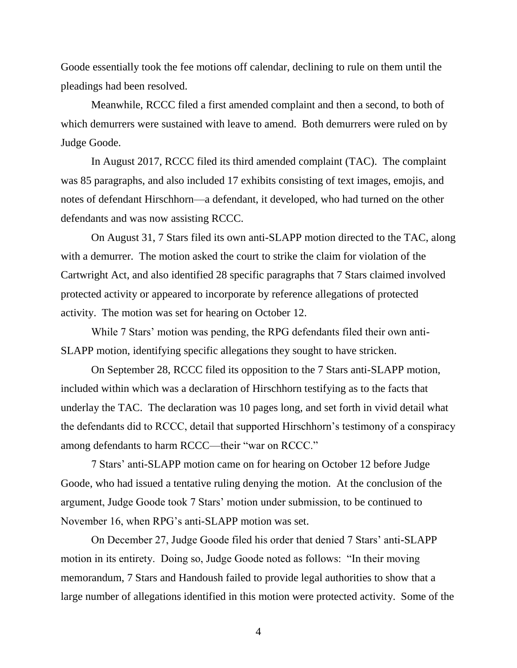Goode essentially took the fee motions off calendar, declining to rule on them until the pleadings had been resolved.

Meanwhile, RCCC filed a first amended complaint and then a second, to both of which demurrers were sustained with leave to amend. Both demurrers were ruled on by Judge Goode.

In August 2017, RCCC filed its third amended complaint (TAC). The complaint was 85 paragraphs, and also included 17 exhibits consisting of text images, emojis, and notes of defendant Hirschhorn—a defendant, it developed, who had turned on the other defendants and was now assisting RCCC.

On August 31, 7 Stars filed its own anti-SLAPP motion directed to the TAC, along with a demurrer. The motion asked the court to strike the claim for violation of the Cartwright Act, and also identified 28 specific paragraphs that 7 Stars claimed involved protected activity or appeared to incorporate by reference allegations of protected activity. The motion was set for hearing on October 12.

While 7 Stars' motion was pending, the RPG defendants filed their own anti-SLAPP motion, identifying specific allegations they sought to have stricken.

On September 28, RCCC filed its opposition to the 7 Stars anti-SLAPP motion, included within which was a declaration of Hirschhorn testifying as to the facts that underlay the TAC. The declaration was 10 pages long, and set forth in vivid detail what the defendants did to RCCC, detail that supported Hirschhorn's testimony of a conspiracy among defendants to harm RCCC—their "war on RCCC."

7 Stars' anti-SLAPP motion came on for hearing on October 12 before Judge Goode, who had issued a tentative ruling denying the motion. At the conclusion of the argument, Judge Goode took 7 Stars' motion under submission, to be continued to November 16, when RPG's anti-SLAPP motion was set.

On December 27, Judge Goode filed his order that denied 7 Stars' anti-SLAPP motion in its entirety. Doing so, Judge Goode noted as follows: "In their moving memorandum, 7 Stars and Handoush failed to provide legal authorities to show that a large number of allegations identified in this motion were protected activity. Some of the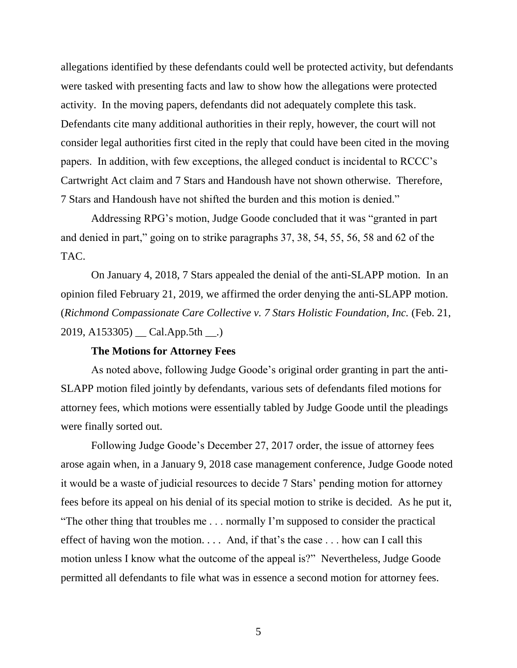allegations identified by these defendants could well be protected activity, but defendants were tasked with presenting facts and law to show how the allegations were protected activity. In the moving papers, defendants did not adequately complete this task. Defendants cite many additional authorities in their reply, however, the court will not consider legal authorities first cited in the reply that could have been cited in the moving papers. In addition, with few exceptions, the alleged conduct is incidental to RCCC's Cartwright Act claim and 7 Stars and Handoush have not shown otherwise. Therefore, 7 Stars and Handoush have not shifted the burden and this motion is denied."

Addressing RPG's motion, Judge Goode concluded that it was "granted in part and denied in part," going on to strike paragraphs 37, 38, 54, 55, 56, 58 and 62 of the TAC.

On January 4, 2018, 7 Stars appealed the denial of the anti-SLAPP motion. In an opinion filed February 21, 2019, we affirmed the order denying the anti-SLAPP motion. (*Richmond Compassionate Care Collective v. 7 Stars Holistic Foundation, Inc.* (Feb. 21, 2019, A153305) \_\_ Cal.App.5th \_\_.)

## **The Motions for Attorney Fees**

As noted above, following Judge Goode's original order granting in part the anti-SLAPP motion filed jointly by defendants, various sets of defendants filed motions for attorney fees, which motions were essentially tabled by Judge Goode until the pleadings were finally sorted out.

Following Judge Goode's December 27, 2017 order, the issue of attorney fees arose again when, in a January 9, 2018 case management conference, Judge Goode noted it would be a waste of judicial resources to decide 7 Stars' pending motion for attorney fees before its appeal on his denial of its special motion to strike is decided. As he put it, "The other thing that troubles me . . . normally I'm supposed to consider the practical effect of having won the motion. . . . And, if that's the case . . . how can I call this motion unless I know what the outcome of the appeal is?" Nevertheless, Judge Goode permitted all defendants to file what was in essence a second motion for attorney fees.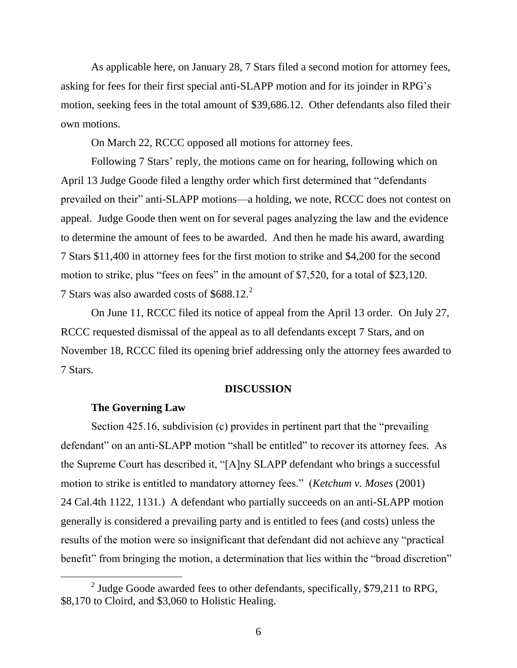As applicable here, on January 28, 7 Stars filed a second motion for attorney fees, asking for fees for their first special anti-SLAPP motion and for its joinder in RPG's motion, seeking fees in the total amount of \$39,686.12. Other defendants also filed their own motions.

On March 22, RCCC opposed all motions for attorney fees.

Following 7 Stars' reply, the motions came on for hearing, following which on April 13 Judge Goode filed a lengthy order which first determined that "defendants prevailed on their" anti-SLAPP motions—a holding, we note, RCCC does not contest on appeal. Judge Goode then went on for several pages analyzing the law and the evidence to determine the amount of fees to be awarded. And then he made his award, awarding 7 Stars \$11,400 in attorney fees for the first motion to strike and \$4,200 for the second motion to strike, plus "fees on fees" in the amount of \$7,520, for a total of \$23,120. 7 Stars was also awarded costs of \$688.12.<sup>2</sup>

On June 11, RCCC filed its notice of appeal from the April 13 order. On July 27, RCCC requested dismissal of the appeal as to all defendants except 7 Stars, and on November 18, RCCC filed its opening brief addressing only the attorney fees awarded to 7 Stars.

#### **DISCUSSION**

### **The Governing Law**

 $\overline{a}$ 

Section 425.16, subdivision (c) provides in pertinent part that the "prevailing defendant" on an anti-SLAPP motion "shall be entitled" to recover its attorney fees. As the Supreme Court has described it, "[A]ny SLAPP defendant who brings a successful motion to strike is entitled to mandatory attorney fees." (*Ketchum v. Moses* (2001) 24 Cal.4th 1122, 1131.) A defendant who partially succeeds on an anti-SLAPP motion generally is considered a prevailing party and is entitled to fees (and costs) unless the results of the motion were so insignificant that defendant did not achieve any "practical benefit" from bringing the motion, a determination that lies within the "broad discretion"

<sup>&</sup>lt;sup>2</sup> Judge Goode awarded fees to other defendants, specifically, \$79,211 to RPG, \$8,170 to Cloird, and \$3,060 to Holistic Healing.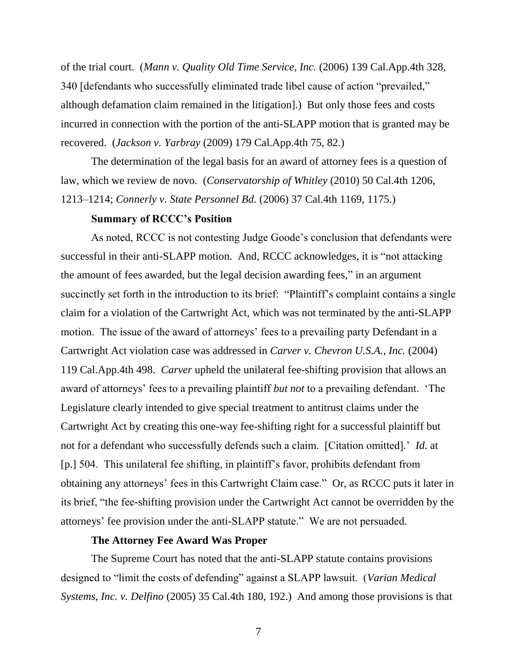of the trial court. (*Mann v. Quality Old Time Service, Inc.* (2006) 139 Cal.App.4th 328, 340 [defendants who successfully eliminated trade libel cause of action "prevailed," although defamation claim remained in the litigation].) But only those fees and costs incurred in connection with the portion of the anti-SLAPP motion that is granted may be recovered. (*Jackson v. Yarbray* (2009) 179 Cal.App.4th 75, 82.)

The determination of the legal basis for an award of attorney fees is a question of law, which we review de novo. (*Conservatorship of Whitley* (2010) 50 Cal.4th 1206, 1213–1214; *Connerly v. State Personnel Bd.* (2006) 37 Cal.4th 1169, 1175.)

#### **Summary of RCCC's Position**

As noted, RCCC is not contesting Judge Goode's conclusion that defendants were successful in their anti-SLAPP motion. And, RCCC acknowledges, it is "not attacking the amount of fees awarded, but the legal decision awarding fees," in an argument succinctly set forth in the introduction to its brief: "Plaintiff's complaint contains a single claim for a violation of the Cartwright Act, which was not terminated by the anti-SLAPP motion. The issue of the award of attorneys' fees to a prevailing party Defendant in a Cartwright Act violation case was addressed in *Carver v. Chevron U.S.A., Inc.* (2004) 119 Cal.App.4th 498. *Carver* upheld the unilateral fee-shifting provision that allows an award of attorneys' fees to a prevailing plaintiff *but not* to a prevailing defendant. 'The Legislature clearly intended to give special treatment to antitrust claims under the Cartwright Act by creating this one-way fee-shifting right for a successful plaintiff but not for a defendant who successfully defends such a claim. [Citation omitted].' *Id*. at [p.] 504. This unilateral fee shifting, in plaintiff's favor, prohibits defendant from obtaining any attorneys' fees in this Cartwright Claim case." Or, as RCCC puts it later in its brief, "the fee-shifting provision under the Cartwright Act cannot be overridden by the attorneys' fee provision under the anti-SLAPP statute." We are not persuaded.

## **The Attorney Fee Award Was Proper**

The Supreme Court has noted that the anti-SLAPP statute contains provisions designed to "limit the costs of defending" against a SLAPP lawsuit. (*Varian Medical Systems, Inc. v. Delfino* (2005) 35 Cal.4th 180, 192.) And among those provisions is that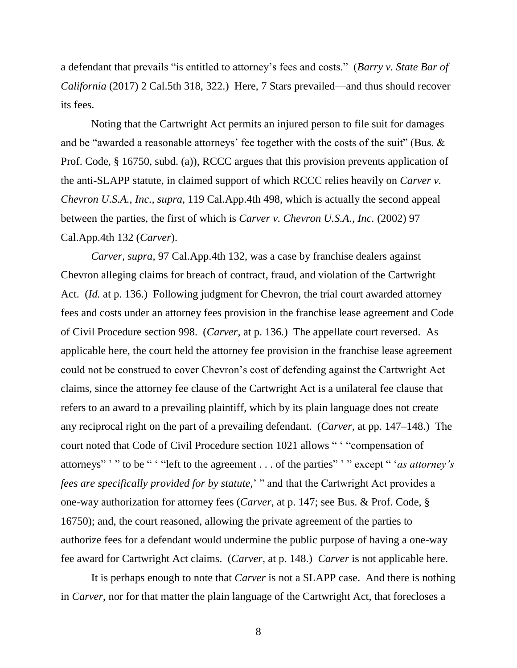a defendant that prevails "is entitled to attorney's fees and costs." (*Barry v. State Bar of California* (2017) 2 Cal.5th 318, 322.) Here, 7 Stars prevailed—and thus should recover its fees.

Noting that the Cartwright Act permits an injured person to file suit for damages and be "awarded a reasonable attorneys' fee together with the costs of the suit" (Bus. & Prof. Code, § 16750, subd. (a)), RCCC argues that this provision prevents application of the anti-SLAPP statute, in claimed support of which RCCC relies heavily on *Carver v. Chevron U.S.A., Inc., supra,* 119 Cal.App.4th 498, which is actually the second appeal between the parties, the first of which is *Carver v. Chevron U.S.A., Inc.* (2002) 97 Cal.App.4th 132 (*Carver*).

*Carver, supra,* 97 Cal.App.4th 132, was a case by franchise dealers against Chevron alleging claims for breach of contract, fraud, and violation of the Cartwright Act. (*Id.* at p. 136.) Following judgment for Chevron, the trial court awarded attorney fees and costs under an attorney fees provision in the franchise lease agreement and Code of Civil Procedure section 998. (*Carver,* at p. 136*.*) The appellate court reversed. As applicable here, the court held the attorney fee provision in the franchise lease agreement could not be construed to cover Chevron's cost of defending against the Cartwright Act claims, since the attorney fee clause of the Cartwright Act is a unilateral fee clause that refers to an award to a prevailing plaintiff, which by its plain language does not create any reciprocal right on the part of a prevailing defendant. (*Carver,* at pp. 147–148.) The court noted that Code of Civil Procedure section 1021 allows " ' "compensation of attorneys" ' " to be " ' "left to the agreement . . . of the parties" ' " except " '*as attorney's fees are specifically provided for by statute,*' " and that the Cartwright Act provides a one-way authorization for attorney fees (*Carver*, at p. 147; see Bus. & Prof. Code, § 16750); and, the court reasoned, allowing the private agreement of the parties to authorize fees for a defendant would undermine the public purpose of having a one-way fee award for Cartwright Act claims. (*Carver*, at p. 148.) *Carver* is not applicable here.

It is perhaps enough to note that *Carver* is not a SLAPP case. And there is nothing in *Carver*, nor for that matter the plain language of the Cartwright Act, that forecloses a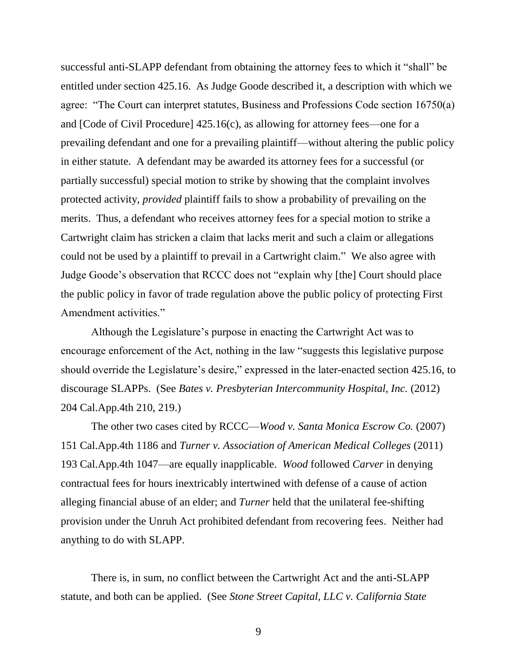successful anti-SLAPP defendant from obtaining the attorney fees to which it "shall" be entitled under section 425.16. As Judge Goode described it, a description with which we agree: "The Court can interpret statutes, Business and Professions Code section 16750(a) and [Code of Civil Procedure] 425.16(c), as allowing for attorney fees—one for a prevailing defendant and one for a prevailing plaintiff—without altering the public policy in either statute. A defendant may be awarded its attorney fees for a successful (or partially successful) special motion to strike by showing that the complaint involves protected activity, *provided* plaintiff fails to show a probability of prevailing on the merits. Thus, a defendant who receives attorney fees for a special motion to strike a Cartwright claim has stricken a claim that lacks merit and such a claim or allegations could not be used by a plaintiff to prevail in a Cartwright claim." We also agree with Judge Goode's observation that RCCC does not "explain why [the] Court should place the public policy in favor of trade regulation above the public policy of protecting First Amendment activities."

Although the Legislature's purpose in enacting the Cartwright Act was to encourage enforcement of the Act, nothing in the law "suggests this legislative purpose should override the Legislature's desire," expressed in the later-enacted section 425.16, to discourage SLAPPs. (See *Bates v. Presbyterian Intercommunity Hospital, Inc.* (2012) 204 Cal.App.4th 210, 219.)

The other two cases cited by RCCC—*Wood v. Santa Monica Escrow Co.* (2007) 151 Cal.App.4th 1186 and *Turner v. Association of American Medical Colleges* (2011) 193 Cal.App.4th 1047—are equally inapplicable. *Wood* followed *Carver* in denying contractual fees for hours inextricably intertwined with defense of a cause of action alleging financial abuse of an elder; and *Turner* held that the unilateral fee-shifting provision under the Unruh Act prohibited defendant from recovering fees. Neither had anything to do with SLAPP.

There is, in sum, no conflict between the Cartwright Act and the anti-SLAPP statute, and both can be applied. (See *Stone Street Capital, LLC v. California State*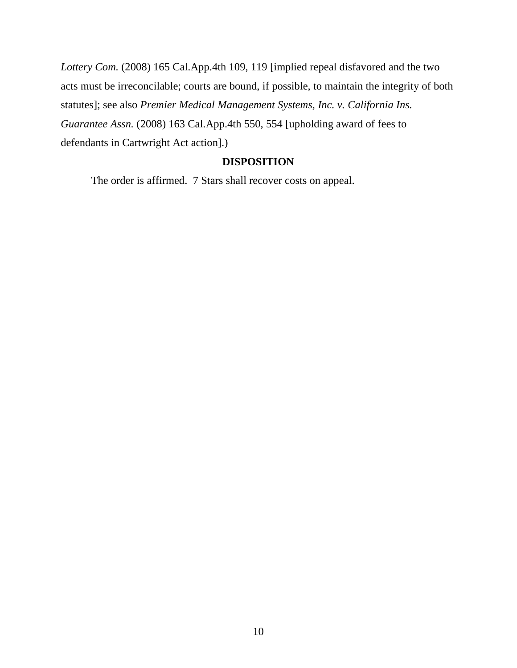*Lottery Com.* (2008) 165 Cal.App.4th 109, 119 [implied repeal disfavored and the two acts must be irreconcilable; courts are bound, if possible, to maintain the integrity of both statutes]; see also *Premier Medical Management Systems, Inc. v. California Ins. Guarantee Assn.* (2008) 163 Cal.App.4th 550, 554 [upholding award of fees to defendants in Cartwright Act action].)

# **DISPOSITION**

The order is affirmed. 7 Stars shall recover costs on appeal.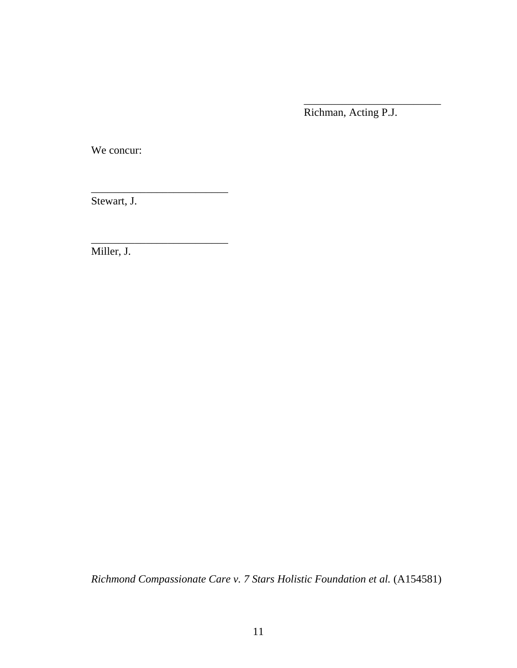Richman, Acting P.J.

\_\_\_\_\_\_\_\_\_\_\_\_\_\_\_\_\_\_\_\_\_\_\_\_\_

We concur:

Stewart, J.

\_\_\_\_\_\_\_\_\_\_\_\_\_\_\_\_\_\_\_\_\_\_\_\_\_

\_\_\_\_\_\_\_\_\_\_\_\_\_\_\_\_\_\_\_\_\_\_\_\_\_

Miller, J.

*Richmond Compassionate Care v. 7 Stars Holistic Foundation et al.* (A154581)